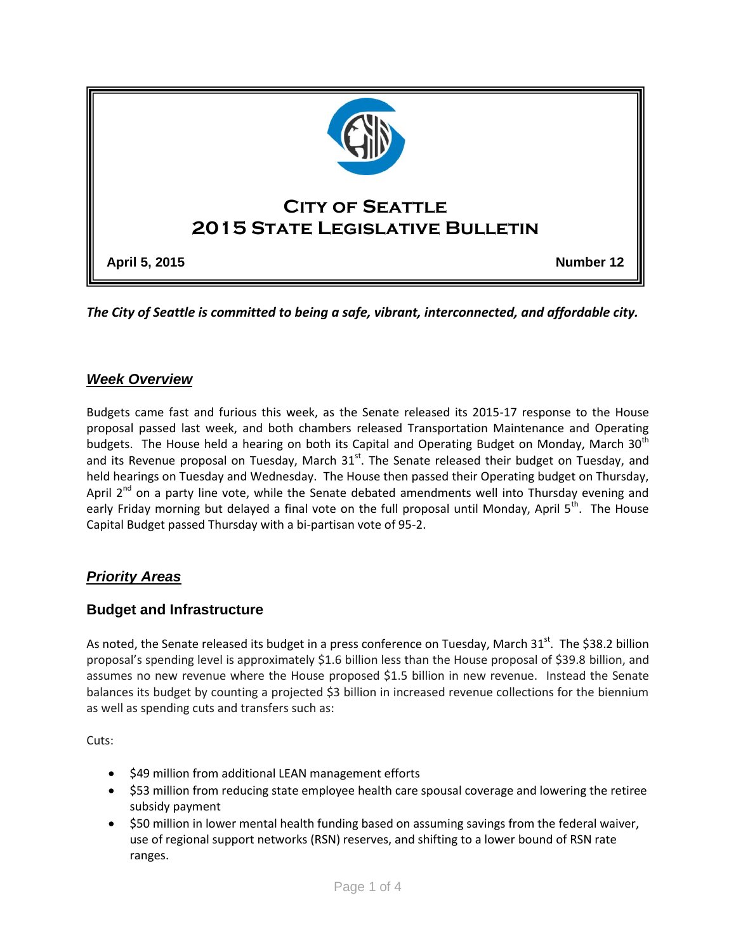

*The City of Seattle is committed to being a safe, vibrant, interconnected, and affordable city.* 

# *Week Overview*

Budgets came fast and furious this week, as the Senate released its 2015-17 response to the House proposal passed last week, and both chambers released Transportation Maintenance and Operating budgets. The House held a hearing on both its Capital and Operating Budget on Monday, March 30<sup>th</sup> and its Revenue proposal on Tuesday, March  $31<sup>st</sup>$ . The Senate released their budget on Tuesday, and held hearings on Tuesday and Wednesday. The House then passed their Operating budget on Thursday, April 2<sup>nd</sup> on a party line vote, while the Senate debated amendments well into Thursday evening and early Friday morning but delayed a final vote on the full proposal until Monday, April 5<sup>th</sup>. The House Capital Budget passed Thursday with a bi-partisan vote of 95-2.

# *Priority Areas*

### **Budget and Infrastructure**

As noted, the Senate released its budget in a press conference on Tuesday, March 31<sup>st</sup>. The \$38.2 billion proposal's spending level is approximately \$1.6 billion less than the House proposal of \$39.8 billion, and assumes no new revenue where the House proposed \$1.5 billion in new revenue. Instead the Senate balances its budget by counting a projected \$3 billion in increased revenue collections for the biennium as well as spending cuts and transfers such as:

Cuts:

- \$49 million from additional LEAN management efforts
- \$53 million from reducing state employee health care spousal coverage and lowering the retiree subsidy payment
- \$50 million in lower mental health funding based on assuming savings from the federal waiver, use of regional support networks (RSN) reserves, and shifting to a lower bound of RSN rate ranges.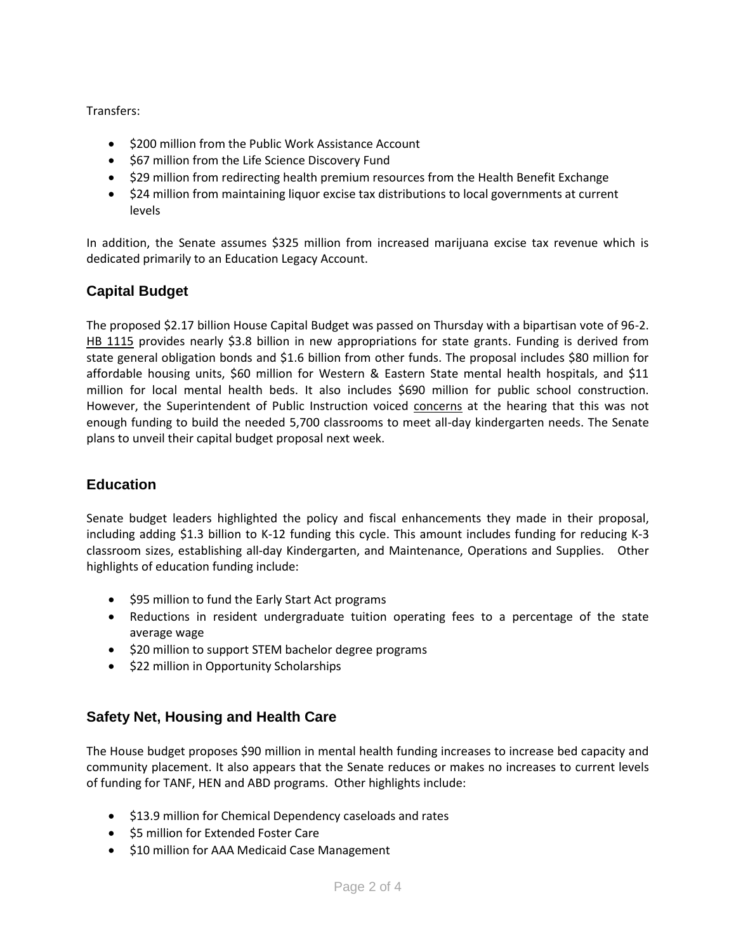Transfers:

- \$200 million from the Public Work Assistance Account
- $\bullet$  \$67 million from the Life Science Discovery Fund
- \$29 million from redirecting health premium resources from the Health Benefit Exchange
- S24 million from maintaining liquor excise tax distributions to local governments at current levels

In addition, the Senate assumes \$325 million from increased marijuana excise tax revenue which is dedicated primarily to an Education Legacy Account.

# **Capital Budget**

The proposed \$2.17 billion House Capital Budget was passed on Thursday with a bipartisan vote of 96-2. [HB 1115](http://app.leg.wa.gov/billinfo/summary.aspx?bill=1115&year=2015) provides nearly \$3.8 billion in new appropriations for state grants. Funding is derived from state general obligation bonds and \$1.6 billion from other funds. The proposal includes \$80 million for affordable housing units, \$60 million for Western & Eastern State mental health hospitals, and \$11 million for local mental health beds. It also includes \$690 million for public school construction. However, the Superintendent of Public Instruction voiced [concerns](http://content.govdelivery.com/accounts/WAOSPI/bulletins/fbc4f3) at the hearing that this was not enough funding to build the needed 5,700 classrooms to meet all-day kindergarten needs. The Senate plans to unveil their capital budget proposal next week.

# **Education**

Senate budget leaders highlighted the policy and fiscal enhancements they made in their proposal, including adding \$1.3 billion to K-12 funding this cycle. This amount includes funding for reducing K-3 classroom sizes, establishing all-day Kindergarten, and Maintenance, Operations and Supplies. Other highlights of education funding include:

- \$95 million to fund the Early Start Act programs
- Reductions in resident undergraduate tuition operating fees to a percentage of the state average wage
- \$20 million to support STEM bachelor degree programs
- \$22 million in Opportunity Scholarships

# **Safety Net, Housing and Health Care**

The House budget proposes \$90 million in mental health funding increases to increase bed capacity and community placement. It also appears that the Senate reduces or makes no increases to current levels of funding for TANF, HEN and ABD programs. Other highlights include:

- $\bullet$  \$13.9 million for Chemical Dependency caseloads and rates
- **\$5 million for Extended Foster Care**
- \$10 million for AAA Medicaid Case Management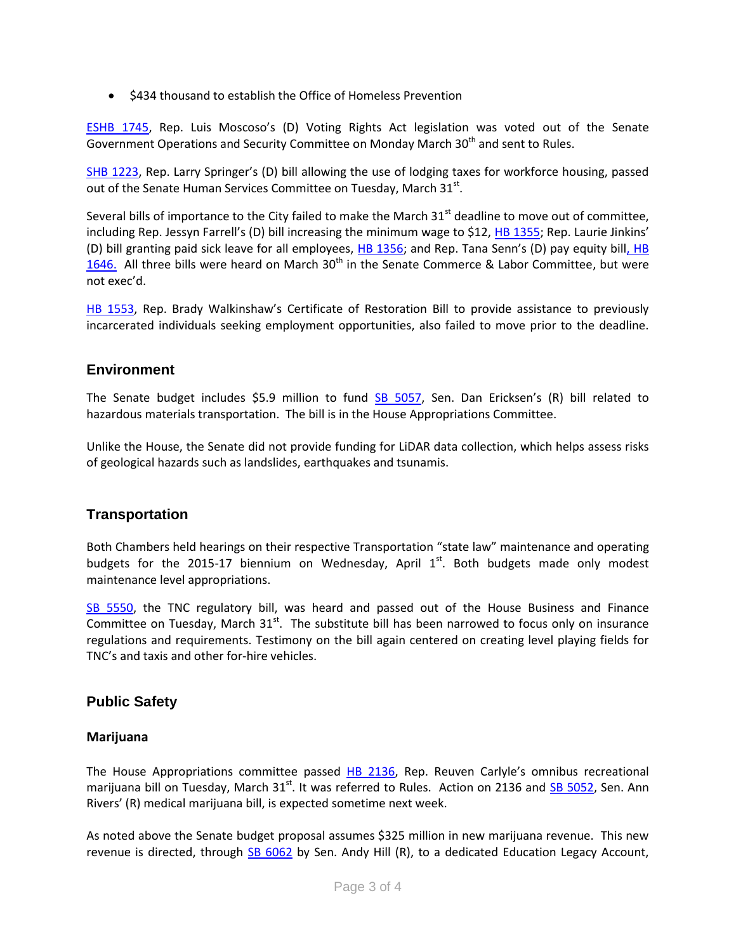• \$434 thousand to establish the Office of Homeless Prevention

[ESHB 1745](http://app.leg.wa.gov/billinfo/summary.aspx?bill=1745&year=2015), Rep. Luis Moscoso's (D) Voting Rights Act legislation was voted out of the Senate Government Operations and Security Committee on Monday March 30<sup>th</sup> and sent to Rules.

[SHB 1223](http://apps.leg.wa.gov/billinfo/summary.aspx?bill=1223&year=2015), Rep. Larry Springer's (D) bill allowing the use of lodging taxes for workforce housing, passed out of the Senate Human Services Committee on Tuesday, March 31st.

Several bills of importance to the City failed to make the March  $31<sup>st</sup>$  deadline to move out of committee, including Rep. Jessyn Farrell's (D) bill increasing the minimum wage to \$12, [HB 1355](http://app.leg.wa.gov/billinfo/summary.aspx?bill=1355&year=2015); Rep. Laurie Jinkins' (D) bill granting paid sick leave for all employees, [HB 1356](http://app.leg.wa.gov/billinfo/summary.aspx?bill=1356&year=2015); and Rep. Tana Senn's (D) pay equity bill, HB [1646.](http://app.leg.wa.gov/billinfo/summary.aspx?bill=1646&year=2015) All three bills were heard on March  $30<sup>th</sup>$  in the Senate Commerce & Labor Committee, but were not exec'd.

[HB 1553,](http://apps.leg.wa.gov/billinfo/summary.aspx?bill=1553&year=2015) Rep. Brady Walkinshaw's Certificate of Restoration Bill to provide assistance to previously incarcerated individuals seeking employment opportunities, also failed to move prior to the deadline.

#### **Environment**

The Senate budget includes \$5.9 million to fund [SB 5057](http://app.leg.wa.gov/billinfo/summary.aspx?year=2015&bill=5057), Sen. Dan Ericksen's (R) bill related to hazardous materials transportation. The bill is in the House Appropriations Committee.

Unlike the House, the Senate did not provide funding for LiDAR data collection, which helps assess risks of geological hazards such as landslides, earthquakes and tsunamis.

### **Transportation**

Both Chambers held hearings on their respective Transportation "state law" maintenance and operating budgets for the 2015-17 biennium on Wednesday, April  $1<sup>st</sup>$ . Both budgets made only modest maintenance level appropriations.

[SB 5550,](http://apps.leg.wa.gov/billinfo/summary.aspx?bill=5550&year=2015) the TNC regulatory bill, was heard and passed out of the House Business and Finance Committee on Tuesday, March  $31<sup>st</sup>$ . The substitute bill has been narrowed to focus only on insurance regulations and requirements. Testimony on the bill again centered on creating level playing fields for TNC's and taxis and other for-hire vehicles.

### **Public Safety**

#### **Marijuana**

The House Appropriations committee passed [HB 2136](http://app.leg.wa.gov/billinfo/summary.aspx?bill=2136&year=2015), Rep. Reuven Carlyle's omnibus recreational marijuana bill on Tuesday, March 31<sup>st</sup>. It was referred to Rules. Action on 2136 and [SB 5052,](http://apps.leg.wa.gov/billinfo/summary.aspx?bill=5052&year=2015) Sen. Ann Rivers' (R) medical marijuana bill, is expected sometime next week.

As noted above the Senate budget proposal assumes \$325 million in new marijuana revenue. This new revenue is directed, through [SB 6062](http://apps.leg.wa.gov/billinfo/summary.aspx?bill=6062&year=2015) by Sen. Andy Hill (R), to a dedicated Education Legacy Account,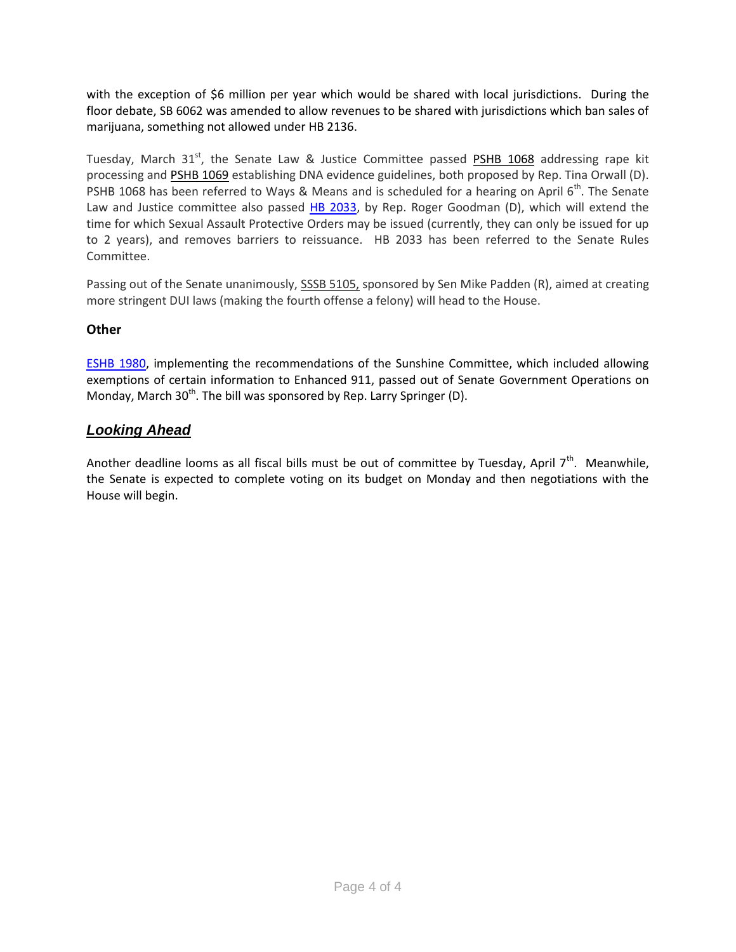with the exception of \$6 million per year which would be shared with local jurisdictions. During the floor debate, SB 6062 was amended to allow revenues to be shared with jurisdictions which ban sales of marijuana, something not allowed under HB 2136.

Tuesday, March  $31<sup>st</sup>$ , the Senate Law & Justice Committee passed [PSHB 1068](http://app.leg.wa.gov/billinfo/summary.aspx?bill=1068&year=2015) addressing rape kit processing and [PSHB 1069](http://app.leg.wa.gov/billinfo/summary.aspx?bill=1069&year=2015) establishing DNA evidence guidelines, both proposed by Rep. Tina Orwall (D). PSHB 1068 has been referred to Ways & Means and is scheduled for a hearing on April  $6<sup>th</sup>$ . The Senate Law and Justice committee also passed [HB 2033,](http://apps.leg.wa.gov/billinfo/summary.aspx?bill=2033&year=2015) by Rep. Roger Goodman (D), which will extend the time for which Sexual Assault Protective Orders may be issued (currently, they can only be issued for up to 2 years), and removes barriers to reissuance. HB 2033 has been referred to the Senate Rules Committee.

Passing out of the Senate unanimously, SSSB 5105, sponsored by Sen Mike Padden (R), aimed at creating more stringent DUI laws (making the fourth offense a felony) will head to the House.

### **Other**

[ESHB 1980,](http://app.leg.wa.gov/billinfo/summary.aspx?year=2015&bill=1980) implementing the recommendations of the Sunshine Committee, which included allowing exemptions of certain information to Enhanced 911, passed out of Senate Government Operations on Monday, March 30<sup>th</sup>. The bill was sponsored by Rep. Larry Springer (D).

# *Looking Ahead*

Another deadline looms as all fiscal bills must be out of committee by Tuesday, April  $7<sup>th</sup>$ . Meanwhile, the Senate is expected to complete voting on its budget on Monday and then negotiations with the House will begin.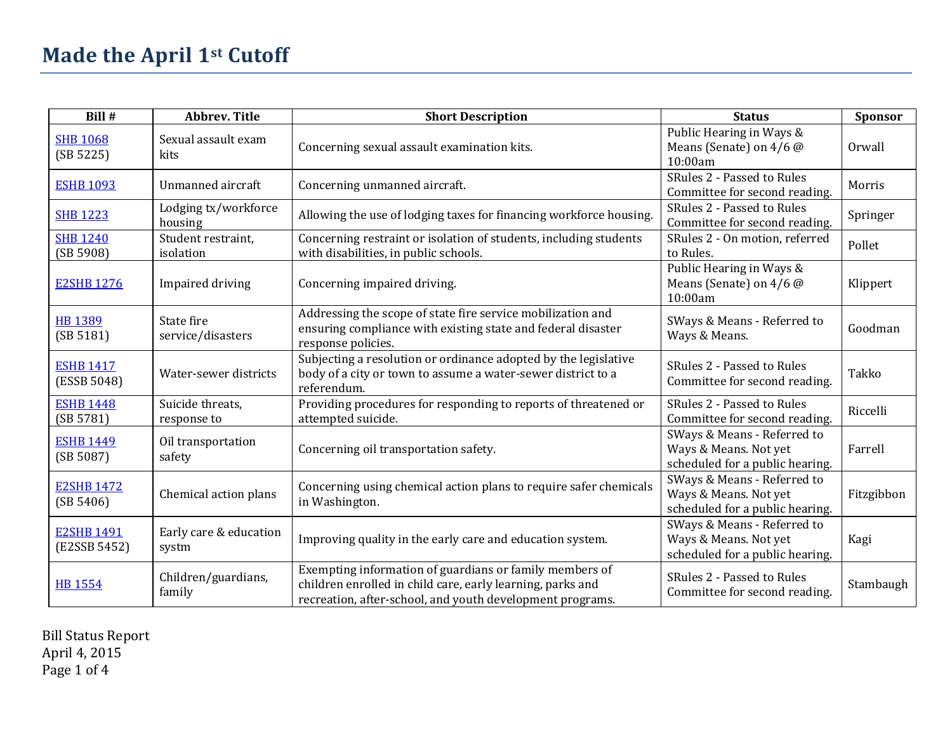| Bill #                            | <b>Abbrev. Title</b>            | <b>Short Description</b>                                                                                                                                                           | <b>Status</b>                                                                           | Sponsor    |
|-----------------------------------|---------------------------------|------------------------------------------------------------------------------------------------------------------------------------------------------------------------------------|-----------------------------------------------------------------------------------------|------------|
| <b>SHB 1068</b><br>(SB 5225)      | Sexual assault exam<br>kits     | Concerning sexual assault examination kits.                                                                                                                                        | Public Hearing in Ways &<br>Means (Senate) on $4/6$ @<br>10:00am                        | Orwall     |
| <b>ESHB 1093</b>                  | Unmanned aircraft               | Concerning unmanned aircraft.                                                                                                                                                      | SRules 2 - Passed to Rules<br>Committee for second reading.                             | Morris     |
| <b>SHB 1223</b>                   | Lodging tx/workforce<br>housing | Allowing the use of lodging taxes for financing workforce housing.                                                                                                                 | SRules 2 - Passed to Rules<br>Committee for second reading.                             | Springer   |
| <b>SHB 1240</b><br>(SB 5908)      | Student restraint,<br>isolation | Concerning restraint or isolation of students, including students<br>with disabilities, in public schools.                                                                         | SRules 2 - On motion, referred<br>to Rules.                                             | Pollet     |
| <b>E2SHB 1276</b>                 | Impaired driving                | Concerning impaired driving.                                                                                                                                                       | Public Hearing in Ways &<br>Means (Senate) on 4/6 @<br>10:00am                          | Klippert   |
| <b>HB 1389</b><br>(SB 5181)       | State fire<br>service/disasters | Addressing the scope of state fire service mobilization and<br>ensuring compliance with existing state and federal disaster<br>response policies.                                  | SWays & Means - Referred to<br>Ways & Means.                                            | Goodman    |
| <b>ESHB 1417</b><br>(ESSB 5048)   | Water-sewer districts           | Subjecting a resolution or ordinance adopted by the legislative<br>body of a city or town to assume a water-sewer district to a<br>referendum.                                     | SRules 2 - Passed to Rules<br>Committee for second reading.                             | Takko      |
| <b>ESHB 1448</b><br>(SB 5781)     | Suicide threats,<br>response to | Providing procedures for responding to reports of threatened or<br>attempted suicide.                                                                                              | SRules 2 - Passed to Rules<br>Committee for second reading.                             | Riccelli   |
| <b>ESHB 1449</b><br>(SB 5087)     | Oil transportation<br>safety    | Concerning oil transportation safety.                                                                                                                                              | SWays & Means - Referred to<br>Ways & Means. Not yet<br>scheduled for a public hearing. | Farrell    |
| <b>E2SHB 1472</b><br>(SB 5406)    | Chemical action plans           | Concerning using chemical action plans to require safer chemicals<br>in Washington.                                                                                                | SWays & Means - Referred to<br>Ways & Means. Not yet<br>scheduled for a public hearing. | Fitzgibbon |
| <b>E2SHB 1491</b><br>(E2SSB 5452) | Early care & education<br>systm | Improving quality in the early care and education system.                                                                                                                          | SWays & Means - Referred to<br>Ways & Means. Not yet<br>scheduled for a public hearing. | Kagi       |
| <b>HB 1554</b>                    | Children/guardians,<br>family   | Exempting information of guardians or family members of<br>children enrolled in child care, early learning, parks and<br>recreation, after-school, and youth development programs. | SRules 2 - Passed to Rules<br>Committee for second reading.                             | Stambaugh  |

Bill Status Report April 4, 2015 Page 1 of 4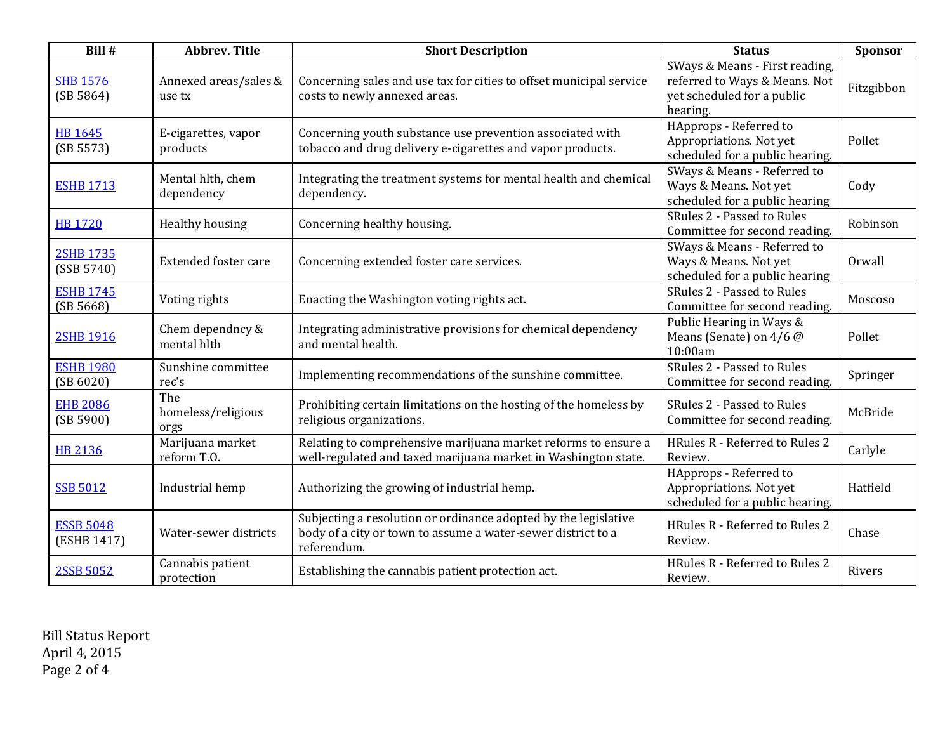| Bill #                          | <b>Abbrev. Title</b>              | <b>Short Description</b>                                                                                                                       | <b>Status</b>                                                                                             | Sponsor    |
|---------------------------------|-----------------------------------|------------------------------------------------------------------------------------------------------------------------------------------------|-----------------------------------------------------------------------------------------------------------|------------|
| <b>SHB 1576</b><br>(SB 5864)    | Annexed areas/sales &<br>use tx   | Concerning sales and use tax for cities to offset municipal service<br>costs to newly annexed areas.                                           | SWays & Means - First reading,<br>referred to Ways & Means. Not<br>yet scheduled for a public<br>hearing. | Fitzgibbon |
| HB 1645<br>(SB 5573)            | E-cigarettes, vapor<br>products   | Concerning youth substance use prevention associated with<br>tobacco and drug delivery e-cigarettes and vapor products.                        | HApprops - Referred to<br>Appropriations. Not yet<br>scheduled for a public hearing.                      | Pollet     |
| <b>ESHB 1713</b>                | Mental hlth, chem<br>dependency   | Integrating the treatment systems for mental health and chemical<br>dependency.                                                                | SWays & Means - Referred to<br>Ways & Means. Not yet<br>scheduled for a public hearing                    | Cody       |
| <b>HB 1720</b>                  | Healthy housing                   | Concerning healthy housing.                                                                                                                    | SRules 2 - Passed to Rules<br>Committee for second reading.                                               | Robinson   |
| <b>2SHB 1735</b><br>(SSB 5740)  | <b>Extended foster care</b>       | Concerning extended foster care services.                                                                                                      | SWays & Means - Referred to<br>Ways & Means. Not yet<br>scheduled for a public hearing                    | Orwall     |
| <b>ESHB 1745</b><br>(SB 5668)   | Voting rights                     | Enacting the Washington voting rights act.                                                                                                     | SRules 2 - Passed to Rules<br>Committee for second reading.                                               | Moscoso    |
| <b>2SHB 1916</b>                | Chem dependncy &<br>mental hlth   | Integrating administrative provisions for chemical dependency<br>and mental health.                                                            | Public Hearing in Ways &<br>Means (Senate) on 4/6 @<br>10:00am                                            | Pollet     |
| <b>ESHB 1980</b><br>(SB 6020)   | Sunshine committee<br>rec's       | Implementing recommendations of the sunshine committee.                                                                                        | SRules 2 - Passed to Rules<br>Committee for second reading.                                               | Springer   |
| <b>EHB 2086</b><br>(SB 5900)    | The<br>homeless/religious<br>orgs | Prohibiting certain limitations on the hosting of the homeless by<br>religious organizations.                                                  | SRules 2 - Passed to Rules<br>Committee for second reading.                                               | McBride    |
| HB 2136                         | Marijuana market<br>reform T.O.   | Relating to comprehensive marijuana market reforms to ensure a<br>well-regulated and taxed marijuana market in Washington state.               | HRules R - Referred to Rules 2<br>Review.                                                                 | Carlyle    |
| <b>SSB 5012</b>                 | Industrial hemp                   | Authorizing the growing of industrial hemp.                                                                                                    | HApprops - Referred to<br>Appropriations. Not yet<br>scheduled for a public hearing.                      | Hatfield   |
| <b>ESSB 5048</b><br>(ESHB 1417) | Water-sewer districts             | Subjecting a resolution or ordinance adopted by the legislative<br>body of a city or town to assume a water-sewer district to a<br>referendum. | HRules R - Referred to Rules 2<br>Review.                                                                 | Chase      |
| 2SSB 5052                       | Cannabis patient<br>protection    | Establishing the cannabis patient protection act.                                                                                              | HRules R - Referred to Rules 2<br>Review.                                                                 | Rivers     |

Bill Status Report April 4, 2015 Page 2 of 4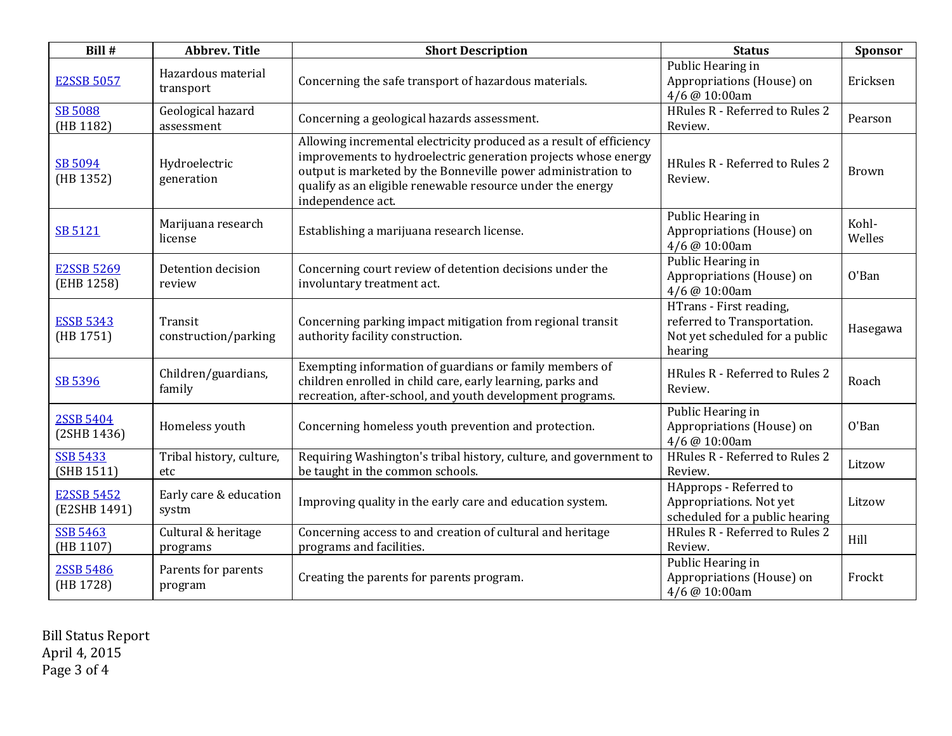| Bill #                            | <b>Abbrev. Title</b>            | <b>Short Description</b>                                                                                                                                                                                                                                                                 | <b>Status</b>                                                                                       | <b>Sponsor</b>  |
|-----------------------------------|---------------------------------|------------------------------------------------------------------------------------------------------------------------------------------------------------------------------------------------------------------------------------------------------------------------------------------|-----------------------------------------------------------------------------------------------------|-----------------|
| <b>E2SSB 5057</b>                 | Hazardous material<br>transport | Concerning the safe transport of hazardous materials.                                                                                                                                                                                                                                    | Public Hearing in<br>Appropriations (House) on<br>4/6 @ 10:00am                                     | Ericksen        |
| <b>SB 5088</b><br>(HB 1182)       | Geological hazard<br>assessment | Concerning a geological hazards assessment.                                                                                                                                                                                                                                              | HRules R - Referred to Rules 2<br>Review.                                                           | Pearson         |
| SB 5094<br>(HB 1352)              | Hydroelectric<br>generation     | Allowing incremental electricity produced as a result of efficiency<br>improvements to hydroelectric generation projects whose energy<br>output is marketed by the Bonneville power administration to<br>qualify as an eligible renewable resource under the energy<br>independence act. | HRules R - Referred to Rules 2<br>Review.                                                           | Brown           |
| SB 5121                           | Marijuana research<br>license   | Establishing a marijuana research license.                                                                                                                                                                                                                                               | Public Hearing in<br>Appropriations (House) on<br>4/6 @ 10:00am                                     | Kohl-<br>Welles |
| <b>E2SSB 5269</b><br>(EHB 1258)   | Detention decision<br>review    | Concerning court review of detention decisions under the<br>involuntary treatment act.                                                                                                                                                                                                   | Public Hearing in<br>Appropriations (House) on<br>4/6 @ 10:00am                                     | O'Ban           |
| <b>ESSB 5343</b><br>(HB 1751)     | Transit<br>construction/parking | Concerning parking impact mitigation from regional transit<br>authority facility construction.                                                                                                                                                                                           | HTrans - First reading,<br>referred to Transportation.<br>Not yet scheduled for a public<br>hearing | Hasegawa        |
| SB 5396                           | Children/guardians,<br>family   | Exempting information of guardians or family members of<br>children enrolled in child care, early learning, parks and<br>recreation, after-school, and youth development programs.                                                                                                       | HRules R - Referred to Rules 2<br>Review.                                                           | Roach           |
| 2SSB 5404<br>(2SHB 1436)          | Homeless youth                  | Concerning homeless youth prevention and protection.                                                                                                                                                                                                                                     | Public Hearing in<br>Appropriations (House) on<br>4/6 @ 10:00am                                     | O'Ban           |
| <b>SSB 5433</b><br>(SHB 1511)     | Tribal history, culture,<br>etc | Requiring Washington's tribal history, culture, and government to<br>be taught in the common schools.                                                                                                                                                                                    | HRules R - Referred to Rules 2<br>Review.                                                           | Litzow          |
| <b>E2SSB 5452</b><br>(E2SHB 1491) | Early care & education<br>systm | Improving quality in the early care and education system.                                                                                                                                                                                                                                | HApprops - Referred to<br>Appropriations. Not yet<br>scheduled for a public hearing                 | Litzow          |
| <b>SSB 5463</b><br>(HB 1107)      | Cultural & heritage<br>programs | Concerning access to and creation of cultural and heritage<br>programs and facilities.                                                                                                                                                                                                   | HRules R - Referred to Rules 2<br>Review.                                                           | Hill            |
| 2SSB 5486<br>(HB 1728)            | Parents for parents<br>program  | Creating the parents for parents program.                                                                                                                                                                                                                                                | Public Hearing in<br>Appropriations (House) on<br>4/6 @ 10:00am                                     | Frockt          |

Bill Status Report April 4, 2015 Page 3 of 4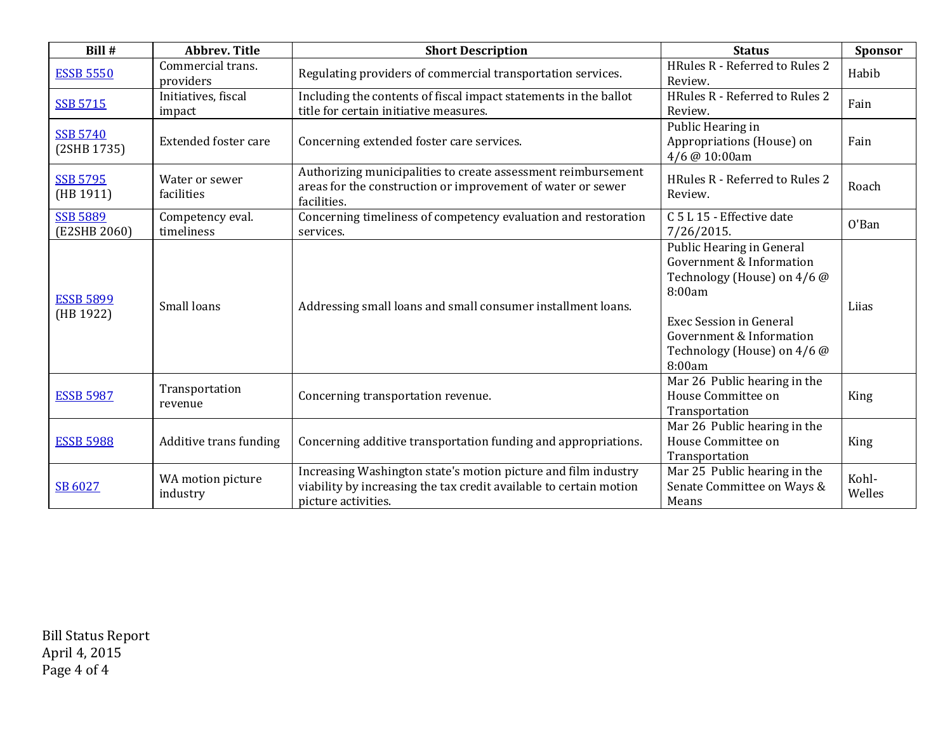| Bill #                          | <b>Abbrev. Title</b>           | <b>Short Description</b>                                                                                                                                    | <b>Status</b>                                                                                                                                                                                         | Sponsor         |
|---------------------------------|--------------------------------|-------------------------------------------------------------------------------------------------------------------------------------------------------------|-------------------------------------------------------------------------------------------------------------------------------------------------------------------------------------------------------|-----------------|
| <b>ESSB 5550</b>                | Commercial trans.<br>providers | Regulating providers of commercial transportation services.                                                                                                 | HRules R - Referred to Rules 2<br>Review.                                                                                                                                                             | Habib           |
| <b>SSB 5715</b>                 | Initiatives, fiscal<br>impact  | Including the contents of fiscal impact statements in the ballot<br>title for certain initiative measures.                                                  | HRules R - Referred to Rules 2<br>Review.                                                                                                                                                             | Fain            |
| <b>SSB 5740</b><br>(2SHB 1735)  | <b>Extended foster care</b>    | Concerning extended foster care services.                                                                                                                   | Public Hearing in<br>Appropriations (House) on<br>4/6 @ 10:00am                                                                                                                                       | Fain            |
| <b>SSB 5795</b><br>(HB 1911)    | Water or sewer<br>facilities   | Authorizing municipalities to create assessment reimbursement<br>areas for the construction or improvement of water or sewer<br>facilities.                 | HRules R - Referred to Rules 2<br>Review.                                                                                                                                                             | Roach           |
| <b>SSB 5889</b><br>(E2SHB 2060) | Competency eval.<br>timeliness | Concerning timeliness of competency evaluation and restoration<br>services.                                                                                 | C 5 L 15 - Effective date<br>7/26/2015.                                                                                                                                                               | O'Ban           |
| <b>ESSB 5899</b><br>(HB 1922)   | Small loans                    | Addressing small loans and small consumer installment loans.                                                                                                | Public Hearing in General<br>Government & Information<br>Technology (House) on 4/6 @<br>8:00am<br><b>Exec Session in General</b><br>Government & Information<br>Technology (House) on 4/6 @<br>8:00am | Liias           |
| <b>ESSB 5987</b>                | Transportation<br>revenue      | Concerning transportation revenue.                                                                                                                          | Mar 26 Public hearing in the<br>House Committee on<br>Transportation                                                                                                                                  | King            |
| <b>ESSB 5988</b>                | Additive trans funding         | Concerning additive transportation funding and appropriations.                                                                                              | Mar 26 Public hearing in the<br>House Committee on<br>Transportation                                                                                                                                  | King            |
| SB 6027                         | WA motion picture<br>industry  | Increasing Washington state's motion picture and film industry<br>viability by increasing the tax credit available to certain motion<br>picture activities. | Mar 25 Public hearing in the<br>Senate Committee on Ways &<br>Means                                                                                                                                   | Kohl-<br>Welles |

Bill Status Report April 4, 2015 Page 4 of 4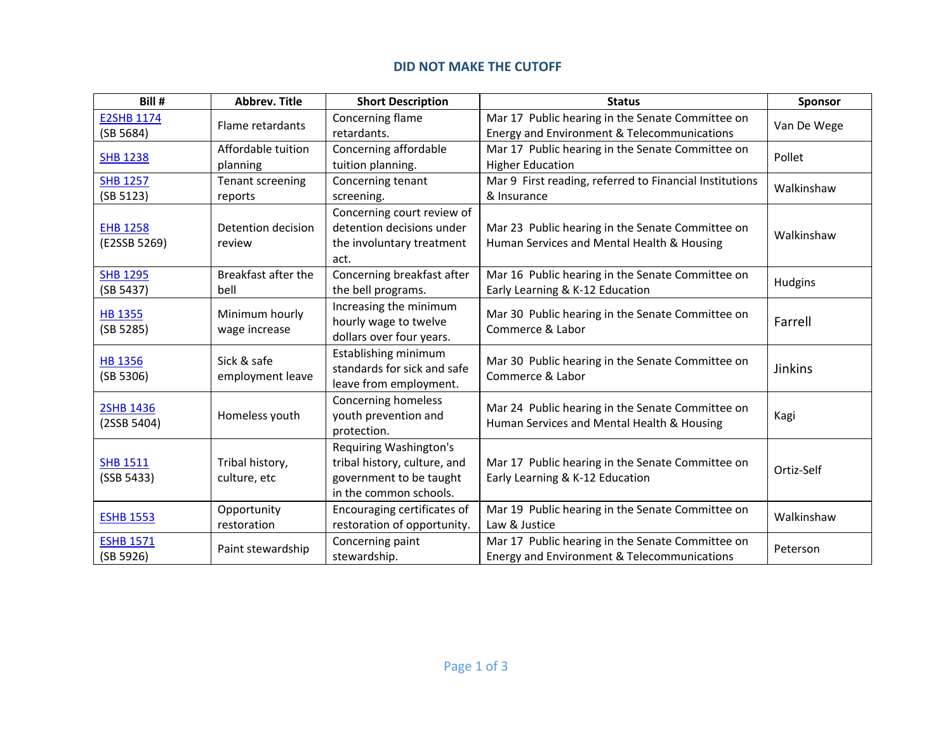### **DID NOT MAKE THE CUTOFF**

| Bill #                          | <b>Abbrev. Title</b>            | <b>Short Description</b>                                                                                           | <b>Status</b>                                                                                   | Sponsor     |
|---------------------------------|---------------------------------|--------------------------------------------------------------------------------------------------------------------|-------------------------------------------------------------------------------------------------|-------------|
| <b>E2SHB 1174</b><br>(SB 5684)  | Flame retardants                | Concerning flame<br>retardants.                                                                                    | Mar 17 Public hearing in the Senate Committee on<br>Energy and Environment & Telecommunications | Van De Wege |
| <b>SHB 1238</b>                 | Affordable tuition<br>planning  | Concerning affordable<br>tuition planning.                                                                         | Mar 17 Public hearing in the Senate Committee on<br><b>Higher Education</b>                     | Pollet      |
| <b>SHB 1257</b><br>(SB 5123)    | Tenant screening<br>reports     | Concerning tenant<br>screening.                                                                                    | Mar 9 First reading, referred to Financial Institutions<br>& Insurance                          | Walkinshaw  |
| <b>EHB 1258</b><br>(E2SSB 5269) | Detention decision<br>review    | Concerning court review of<br>detention decisions under<br>the involuntary treatment<br>act.                       | Mar 23 Public hearing in the Senate Committee on<br>Human Services and Mental Health & Housing  | Walkinshaw  |
| <b>SHB 1295</b><br>(SB 5437)    | Breakfast after the<br>bell     | Concerning breakfast after<br>the bell programs.                                                                   | Mar 16 Public hearing in the Senate Committee on<br>Early Learning & K-12 Education             | Hudgins     |
| <b>HB 1355</b><br>(SB 5285)     | Minimum hourly<br>wage increase | Increasing the minimum<br>hourly wage to twelve<br>dollars over four years.                                        | Mar 30 Public hearing in the Senate Committee on<br>Commerce & Labor                            | Farrell     |
| <b>HB 1356</b><br>(SB 5306)     | Sick & safe<br>employment leave | Establishing minimum<br>standards for sick and safe<br>leave from employment.                                      | Mar 30 Public hearing in the Senate Committee on<br>Commerce & Labor                            | Jinkins     |
| 2SHB 1436<br>(2SSB 5404)        | Homeless youth                  | Concerning homeless<br>youth prevention and<br>protection.                                                         | Mar 24 Public hearing in the Senate Committee on<br>Human Services and Mental Health & Housing  | Kagi        |
| <b>SHB 1511</b><br>(SSB 5433)   | Tribal history,<br>culture, etc | <b>Requiring Washington's</b><br>tribal history, culture, and<br>government to be taught<br>in the common schools. | Mar 17 Public hearing in the Senate Committee on<br>Early Learning & K-12 Education             | Ortiz-Self  |
| <b>ESHB 1553</b>                | Opportunity<br>restoration      | Encouraging certificates of<br>restoration of opportunity.                                                         | Mar 19 Public hearing in the Senate Committee on<br>Law & Justice                               | Walkinshaw  |
| <b>ESHB 1571</b><br>(SB 5926)   | Paint stewardship               | Concerning paint<br>stewardship.                                                                                   | Mar 17 Public hearing in the Senate Committee on<br>Energy and Environment & Telecommunications | Peterson    |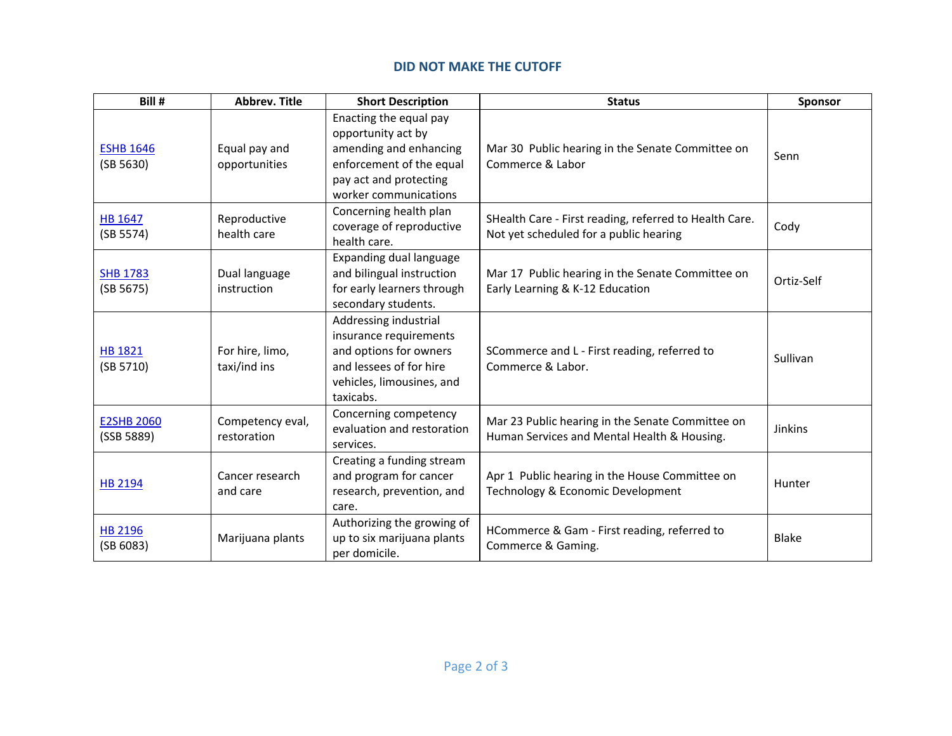### **DID NOT MAKE THE CUTOFF**

| Bill #                          | <b>Abbrev. Title</b>            | <b>Short Description</b>                                                                                                                              | <b>Status</b>                                                                                    | Sponsor    |
|---------------------------------|---------------------------------|-------------------------------------------------------------------------------------------------------------------------------------------------------|--------------------------------------------------------------------------------------------------|------------|
| <b>ESHB 1646</b><br>(SB 5630)   | Equal pay and<br>opportunities  | Enacting the equal pay<br>opportunity act by<br>amending and enhancing<br>enforcement of the equal<br>pay act and protecting<br>worker communications | Mar 30 Public hearing in the Senate Committee on<br>Commerce & Labor                             | Senn       |
| <b>HB 1647</b><br>(SB 5574)     | Reproductive<br>health care     | Concerning health plan<br>coverage of reproductive<br>health care.                                                                                    | SHealth Care - First reading, referred to Health Care.<br>Not yet scheduled for a public hearing | Cody       |
| <b>SHB 1783</b><br>(SB 5675)    | Dual language<br>instruction    | Expanding dual language<br>and bilingual instruction<br>for early learners through<br>secondary students.                                             | Mar 17 Public hearing in the Senate Committee on<br>Early Learning & K-12 Education              | Ortiz-Self |
| <b>HB 1821</b><br>(SB 5710)     | For hire, limo,<br>taxi/ind ins | Addressing industrial<br>insurance requirements<br>and options for owners<br>and lessees of for hire<br>vehicles, limousines, and<br>taxicabs.        | SCommerce and L - First reading, referred to<br>Commerce & Labor.                                | Sullivan   |
| <b>E2SHB 2060</b><br>(SSB 5889) | Competency eval,<br>restoration | Concerning competency<br>evaluation and restoration<br>services.                                                                                      | Mar 23 Public hearing in the Senate Committee on<br>Human Services and Mental Health & Housing.  | Jinkins    |
| HB 2194                         | Cancer research<br>and care     | Creating a funding stream<br>and program for cancer<br>research, prevention, and<br>care.                                                             | Apr 1 Public hearing in the House Committee on<br>Technology & Economic Development              | Hunter     |
| <b>HB 2196</b><br>(SB 6083)     | Marijuana plants                | Authorizing the growing of<br>up to six marijuana plants<br>per domicile.                                                                             | HCommerce & Gam - First reading, referred to<br>Commerce & Gaming.                               | Blake      |